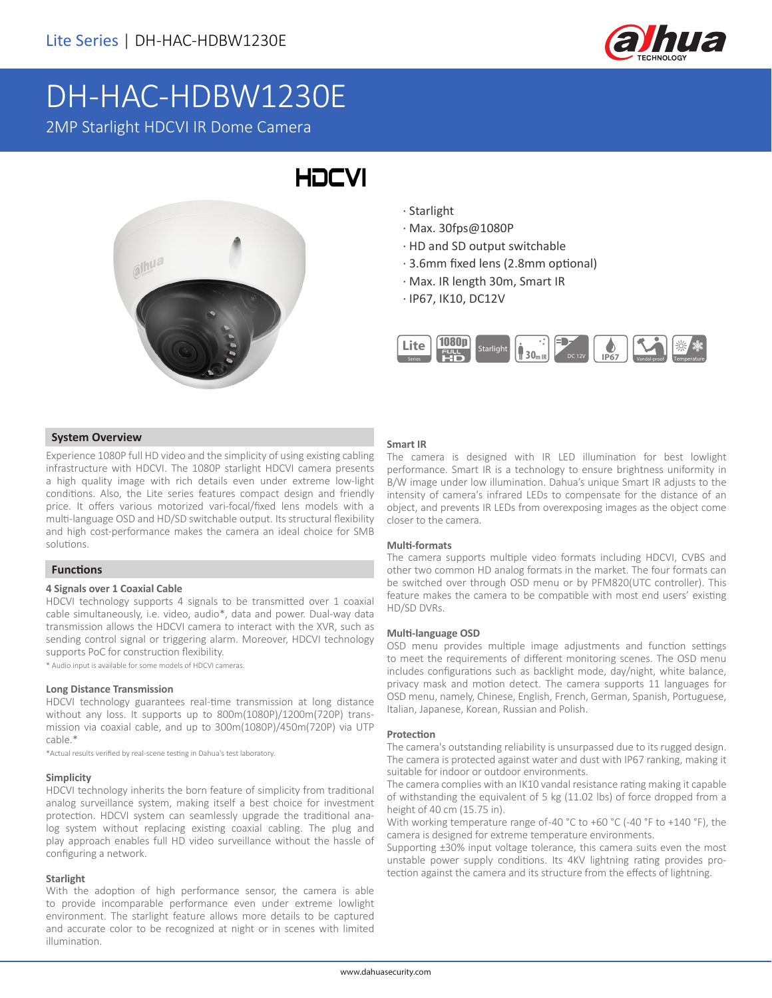

# DH-HAC-HDBW1230E

2MP Starlight HDCVI IR Dome Camera



- · Starlight
- · Max. 30fps@1080P
- · HD and SD output switchable
- · 3.6mm fixed lens (2.8mm optional)
- · Max. IR length 30m, Smart IR
- · IP67, IK10, DC12V



# **System Overview**

Experience 1080P full HD video and the simplicity of using existing cabling infrastructure with HDCVI. The 1080P starlight HDCVI camera presents a high quality image with rich details even under extreme low-light conditions. Also, the Lite series features compact design and friendly price. It offers various motorized vari-focal/fixed lens models with a multi-language OSD and HD/SD switchable output. Its structural flexibility and high cost-performance makes the camera an ideal choice for SMB solutions.

# **Functions**

#### **4 Signals over 1 Coaxial Cable**

HDCVI technology supports 4 signals to be transmitted over 1 coaxial cable simultaneously, i.e. video, audio\*, data and power. Dual-way data transmission allows the HDCVI camera to interact with the XVR, such as sending control signal or triggering alarm. Moreover, HDCVI technology supports PoC for construction flexibility.

\* Audio input is available for some models of HDCVI cameras.

#### **Long Distance Transmission**

HDCVI technology guarantees real-time transmission at long distance without any loss. It supports up to 800m(1080P)/1200m(720P) transmission via coaxial cable, and up to 300m(1080P)/450m(720P) via UTP cable.\*

\*Actual results verified by real-scene testing in Dahua's test laboratory.

#### **Simplicity**

HDCVI technology inherits the born feature of simplicity from traditional analog surveillance system, making itself a best choice for investment protection. HDCVI system can seamlessly upgrade the traditional analog system without replacing existing coaxial cabling. The plug and play approach enables full HD video surveillance without the hassle of configuring a network.

#### **Starlight**

With the adoption of high performance sensor, the camera is able to provide incomparable performance even under extreme lowlight environment. The starlight feature allows more details to be captured and accurate color to be recognized at night or in scenes with limited illumination.

#### **Smart IR**

The camera is designed with IR LED illumination for best lowlight performance. Smart IR is a technology to ensure brightness uniformity in B/W image under low illumination. Dahua's unique Smart IR adjusts to the intensity of camera's infrared LEDs to compensate for the distance of an object, and prevents IR LEDs from overexposing images as the object come closer to the camera.

#### **Multi-formats**

The camera supports multiple video formats including HDCVI, CVBS and other two common HD analog formats in the market. The four formats can be switched over through OSD menu or by PFM820(UTC controller). This feature makes the camera to be compatible with most end users' existing HD/SD DVRs.

#### **Multi-language OSD**

OSD menu provides multiple image adjustments and function settings to meet the requirements of different monitoring scenes. The OSD menu includes configurations such as backlight mode, day/night, white balance, privacy mask and motion detect. The camera supports 11 languages for OSD menu, namely, Chinese, English, French, German, Spanish, Portuguese, Italian, Japanese, Korean, Russian and Polish.

#### **Protection**

The camera's outstanding reliability is unsurpassed due to its rugged design. The camera is protected against water and dust with IP67 ranking, making it suitable for indoor or outdoor environments.

The camera complies with an IK10 vandal resistance rating making it capable of withstanding the equivalent of 5 kg (11.02 lbs) of force dropped from a height of 40 cm (15.75 in).

With working temperature range of-40 °C to +60 °C (-40 °F to +140 °F), the camera is designed for extreme temperature environments.

Supporting ±30% input voltage tolerance, this camera suits even the most unstable power supply conditions. Its 4KV lightning rating provides protection against the camera and its structure from the effects of lightning.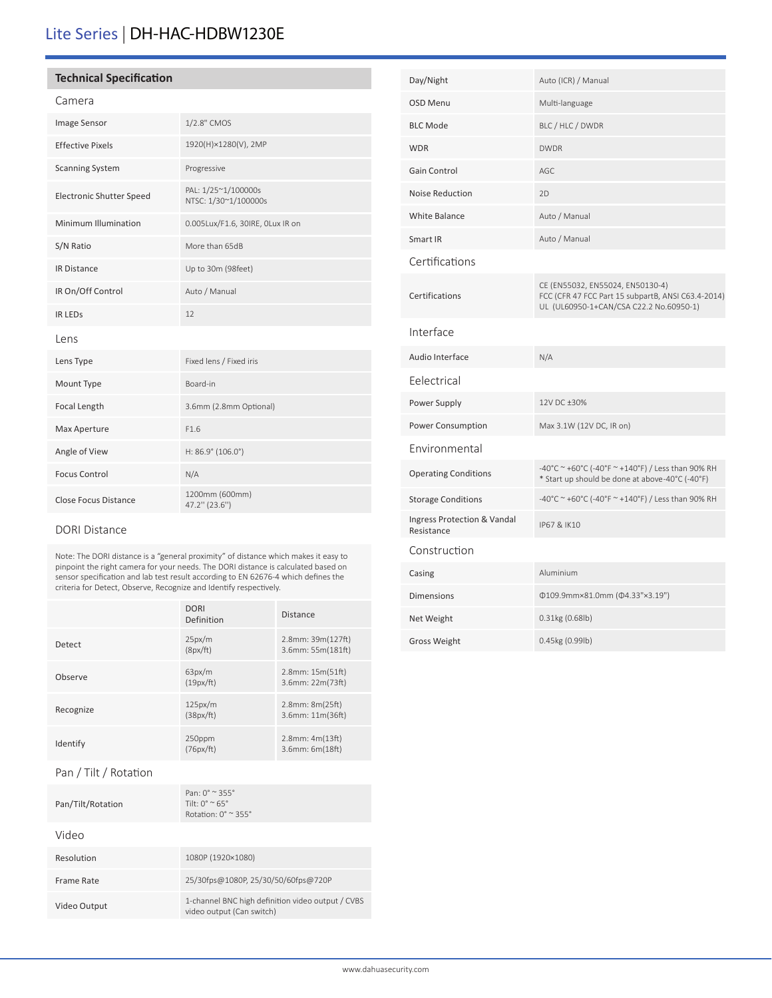# Lite Series | DH-HAC-HDBW1230E

## **Technical Specification**

# Camera

| Image Sensor                    | 1/2.8" CMOS                                 |  |  |
|---------------------------------|---------------------------------------------|--|--|
| <b>Effective Pixels</b>         | 1920(H)×1280(V), 2MP                        |  |  |
| <b>Scanning System</b>          | Progressive                                 |  |  |
| <b>Electronic Shutter Speed</b> | PAL: 1/25~1/100000s<br>NTSC: 1/30~1/100000s |  |  |
| Minimum Illumination            | 0.005Lux/F1.6, 30IRE, OLux IR on            |  |  |
| S/N Ratio                       | More than 65dB                              |  |  |
| <b>IR Distance</b>              | Up to 30m (98feet)                          |  |  |
| IR On/Off Control               | Auto / Manual                               |  |  |
| <b>IR LEDS</b>                  | 12                                          |  |  |
| lens                            |                                             |  |  |
| Lens Type                       | Fixed lens / Fixed iris                     |  |  |
| Mount Type                      | Board-in                                    |  |  |
| Focal Length                    | 3.6mm (2.8mm Optional)                      |  |  |
| Max Aperture                    | F1.6                                        |  |  |
| Angle of View                   | $H: 86.9^{\circ}$ (106.0°)                  |  |  |
| <b>Focus Control</b>            | N/A                                         |  |  |
| <b>Close Focus Distance</b>     | 1200mm (600mm)<br>47.2" (23.6")             |  |  |

### DORI Distance

Note: The DORI distance is a "general proximity" of distance which makes it easy to pinpoint the right camera for your needs. The DORI distance is calculated based on sensor specification and lab test result according to EN 62676-4 which defines the criteria for Detect, Observe, Recognize and Identify respectively.

|                       | <b>DORI</b><br>Definition | <b>Distance</b>                           |
|-----------------------|---------------------------|-------------------------------------------|
| Detect                | 25px/m<br>(8px/ft)        | 2.8mm: 39m(127ft)<br>3.6mm: 55m(181ft)    |
| Observe               | 63px/m<br>(19px/ft)       | $2.8$ mm: $15m(51ft)$<br>3.6mm: 22m(73ft) |
| Recognize             | 125px/m<br>(38px/ft)      | 2.8mm: 8m(25ft)<br>3.6mm: 11m(36ft)       |
| Identify              | 250ppm<br>(76px/ft)       | $2.8$ mm: $4m(13ft)$<br>3.6mm: 6m(18ft)   |
| Pan / Tilt / Rotation |                           |                                           |

| Pan/Tilt/Rotation | $Pan: 0^{\circ} \approx 355^{\circ}$<br>Tilt: $0^{\circ}$ ~ 65°<br>Rotation: $0^\circ \approx 355^\circ$ |
|-------------------|----------------------------------------------------------------------------------------------------------|
| Video             |                                                                                                          |
| Resolution        | 1080P (1920×1080)                                                                                        |
| Frame Rate        | 25/30fps@1080P, 25/30/50/60fps@720P                                                                      |
| Video Output      | 1-channel BNC high definition video output / CVBS<br>video output (Can switch)                           |

| Day/Night                                 | Auto (ICR) / Manual                                                                                                               |
|-------------------------------------------|-----------------------------------------------------------------------------------------------------------------------------------|
| <b>OSD Menu</b>                           | Multi-language                                                                                                                    |
| <b>BLC Mode</b>                           | BLC / HLC / DWDR                                                                                                                  |
| <b>WDR</b>                                | <b>DWDR</b>                                                                                                                       |
| <b>Gain Control</b>                       | AGC                                                                                                                               |
| Noise Reduction                           | 2D                                                                                                                                |
| <b>White Balance</b>                      | Auto / Manual                                                                                                                     |
| Smart IR                                  | Auto / Manual                                                                                                                     |
| Certifications                            |                                                                                                                                   |
| Certifications                            | CE (EN55032, EN55024, EN50130-4)<br>FCC (CFR 47 FCC Part 15 subpartB, ANSI C63.4-2014)<br>UL (UL60950-1+CAN/CSA C22.2 No.60950-1) |
| Interface                                 |                                                                                                                                   |
| Audio Interface                           | N/A                                                                                                                               |
| Eelectrical                               |                                                                                                                                   |
| Power Supply                              | 12V DC ±30%                                                                                                                       |
| Power Consumption                         | Max 3.1W (12V DC, IR on)                                                                                                          |
| Environmental                             |                                                                                                                                   |
| <b>Operating Conditions</b>               | -40°C ~ +60°C (-40°F ~ +140°F) / Less than 90% RH<br>* Start up should be done at above-40°C (-40°F)                              |
| <b>Storage Conditions</b>                 | -40°C ~ +60°C (-40°F ~ +140°F) / Less than 90% RH                                                                                 |
| Ingress Protection & Vandal<br>Resistance | IP67 & IK10                                                                                                                       |
| Construction                              |                                                                                                                                   |
| Casing                                    | Aluminium                                                                                                                         |
| <b>Dimensions</b>                         | Φ109.9mm×81.0mm (Φ4.33"×3.19")                                                                                                    |
| Net Weight                                | 0.31kg (0.68lb)                                                                                                                   |
| <b>Gross Weight</b>                       | 0.45kg (0.99lb)                                                                                                                   |